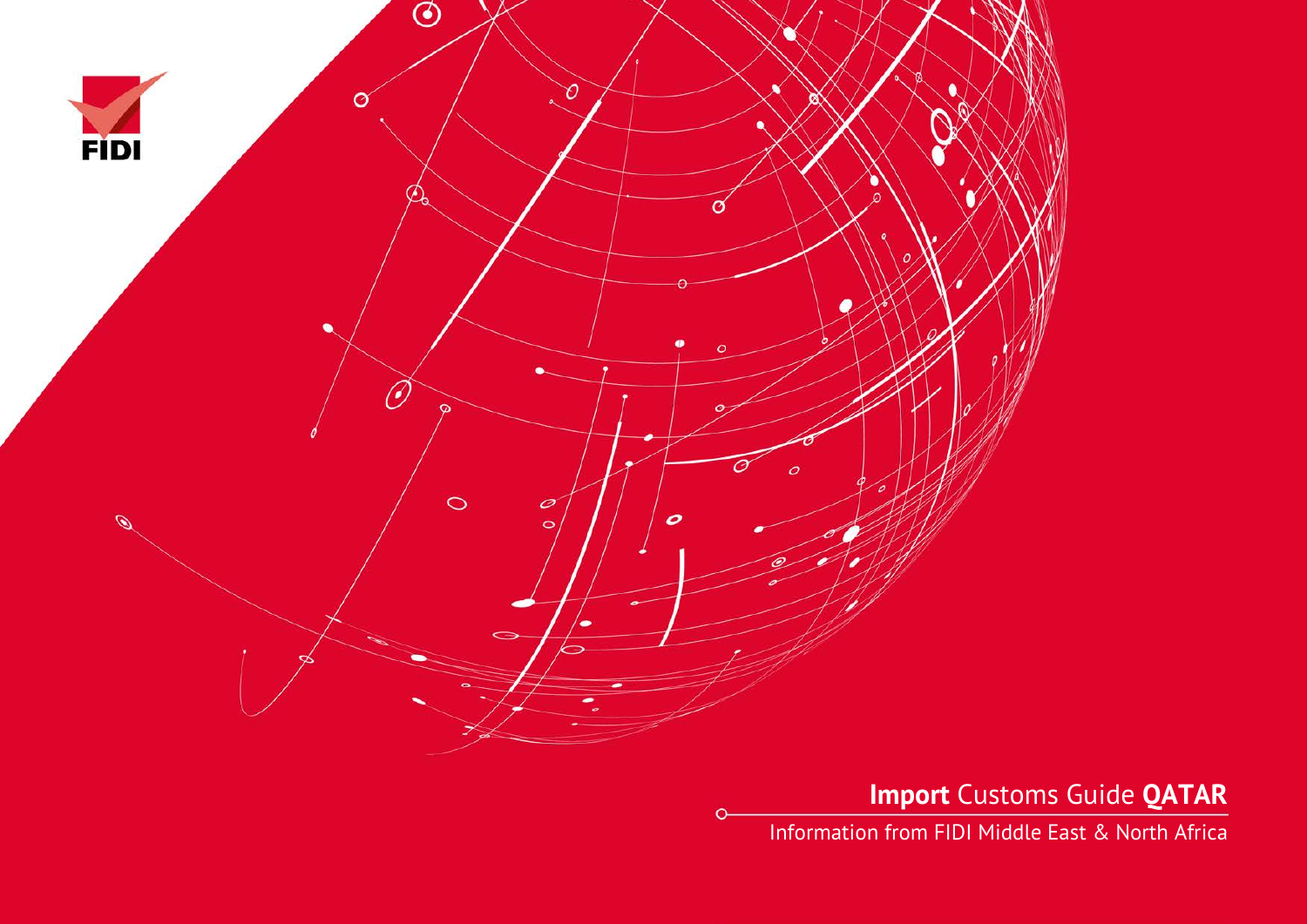

**Import** Customs Guide **QATAR**

Information from FIDI Middle East & North Africa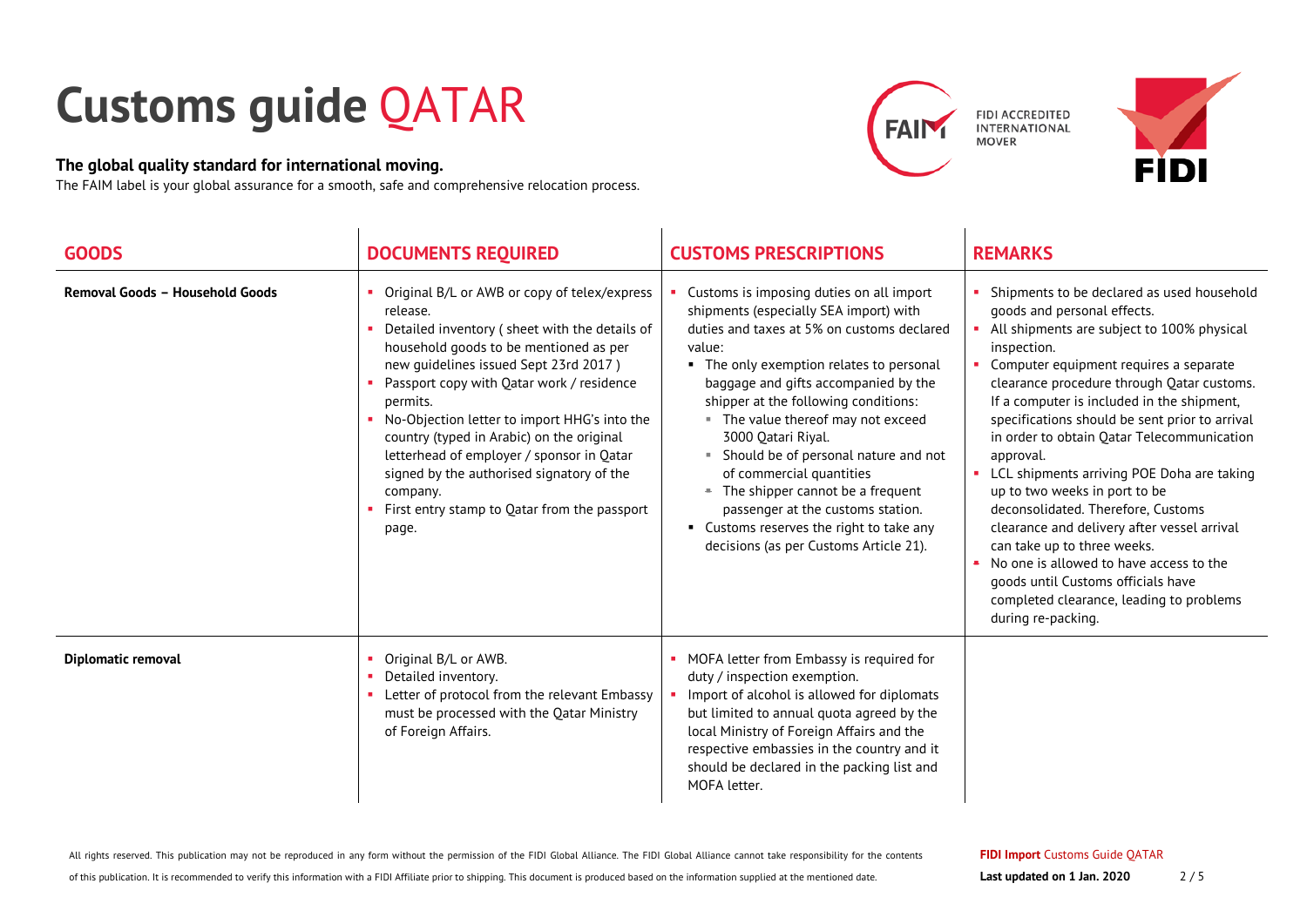## **Customs guide** QATAR

## **The global quality standard for international moving.**

The FAIM label is your global assurance for a smooth, safe and comprehensive relocation process.



FIDI ACCREDITED<br>INTERNATIONAL **MOVER** 



| <b>GOODS</b>                    | <b>DOCUMENTS REQUIRED</b>                                                                                                                                                                                                                                                                                                                                                                                                                                                                                         | <b>CUSTOMS PRESCRIPTIONS</b>                                                                                                                                                                                                                                                                                                                                                                                                                                                                                                                                              | <b>REMARKS</b>                                                                                                                                                                                                                                                                                                                                                                                                                                                                                                                                                                                                                                                                                                                                                 |
|---------------------------------|-------------------------------------------------------------------------------------------------------------------------------------------------------------------------------------------------------------------------------------------------------------------------------------------------------------------------------------------------------------------------------------------------------------------------------------------------------------------------------------------------------------------|---------------------------------------------------------------------------------------------------------------------------------------------------------------------------------------------------------------------------------------------------------------------------------------------------------------------------------------------------------------------------------------------------------------------------------------------------------------------------------------------------------------------------------------------------------------------------|----------------------------------------------------------------------------------------------------------------------------------------------------------------------------------------------------------------------------------------------------------------------------------------------------------------------------------------------------------------------------------------------------------------------------------------------------------------------------------------------------------------------------------------------------------------------------------------------------------------------------------------------------------------------------------------------------------------------------------------------------------------|
| Removal Goods - Household Goods | Original B/L or AWB or copy of telex/express<br>release.<br>Detailed inventory (sheet with the details of<br>household goods to be mentioned as per<br>new quidelines issued Sept 23rd 2017)<br>Passport copy with Qatar work / residence<br>permits.<br>No-Objection letter to import HHG's into the<br>country (typed in Arabic) on the original<br>letterhead of employer / sponsor in Qatar<br>signed by the authorised signatory of the<br>company.<br>First entry stamp to Qatar from the passport<br>page. | Customs is imposing duties on all import<br>shipments (especially SEA import) with<br>duties and taxes at 5% on customs declared<br>value:<br>• The only exemption relates to personal<br>baggage and gifts accompanied by the<br>shipper at the following conditions:<br>" The value thereof may not exceed<br>3000 Qatari Riyal.<br>• Should be of personal nature and not<br>of commercial quantities<br>- The shipper cannot be a frequent<br>passenger at the customs station.<br>• Customs reserves the right to take any<br>decisions (as per Customs Article 21). | Shipments to be declared as used household<br>goods and personal effects.<br>All shipments are subject to 100% physical<br>inspection.<br>Computer equipment requires a separate<br>clearance procedure through Qatar customs.<br>If a computer is included in the shipment,<br>specifications should be sent prior to arrival<br>in order to obtain Qatar Telecommunication<br>approval.<br>• LCL shipments arriving POE Doha are taking<br>up to two weeks in port to be<br>deconsolidated. Therefore, Customs<br>clearance and delivery after vessel arrival<br>can take up to three weeks.<br>No one is allowed to have access to the<br>$\bullet$<br>goods until Customs officials have<br>completed clearance, leading to problems<br>during re-packing. |
| Diplomatic removal              | Original B/L or AWB.<br>Detailed inventory.<br>Letter of protocol from the relevant Embassy<br>must be processed with the Qatar Ministry<br>of Foreign Affairs.                                                                                                                                                                                                                                                                                                                                                   | • MOFA letter from Embassy is required for<br>duty / inspection exemption.<br>Import of alcohol is allowed for diplomats<br>but limited to annual quota agreed by the<br>local Ministry of Foreign Affairs and the<br>respective embassies in the country and it<br>should be declared in the packing list and<br>MOFA letter.                                                                                                                                                                                                                                            |                                                                                                                                                                                                                                                                                                                                                                                                                                                                                                                                                                                                                                                                                                                                                                |

All rights reserved. This publication may not be reproduced in any form without the permission of the FIDI Global Alliance. The FIDI Global Alliance cannot take responsibility for the contents

of this publication. It is recommended to verify this information with a FIDI Affiliate prior to shipping. This document is produced based on the information supplied at the mentioned date.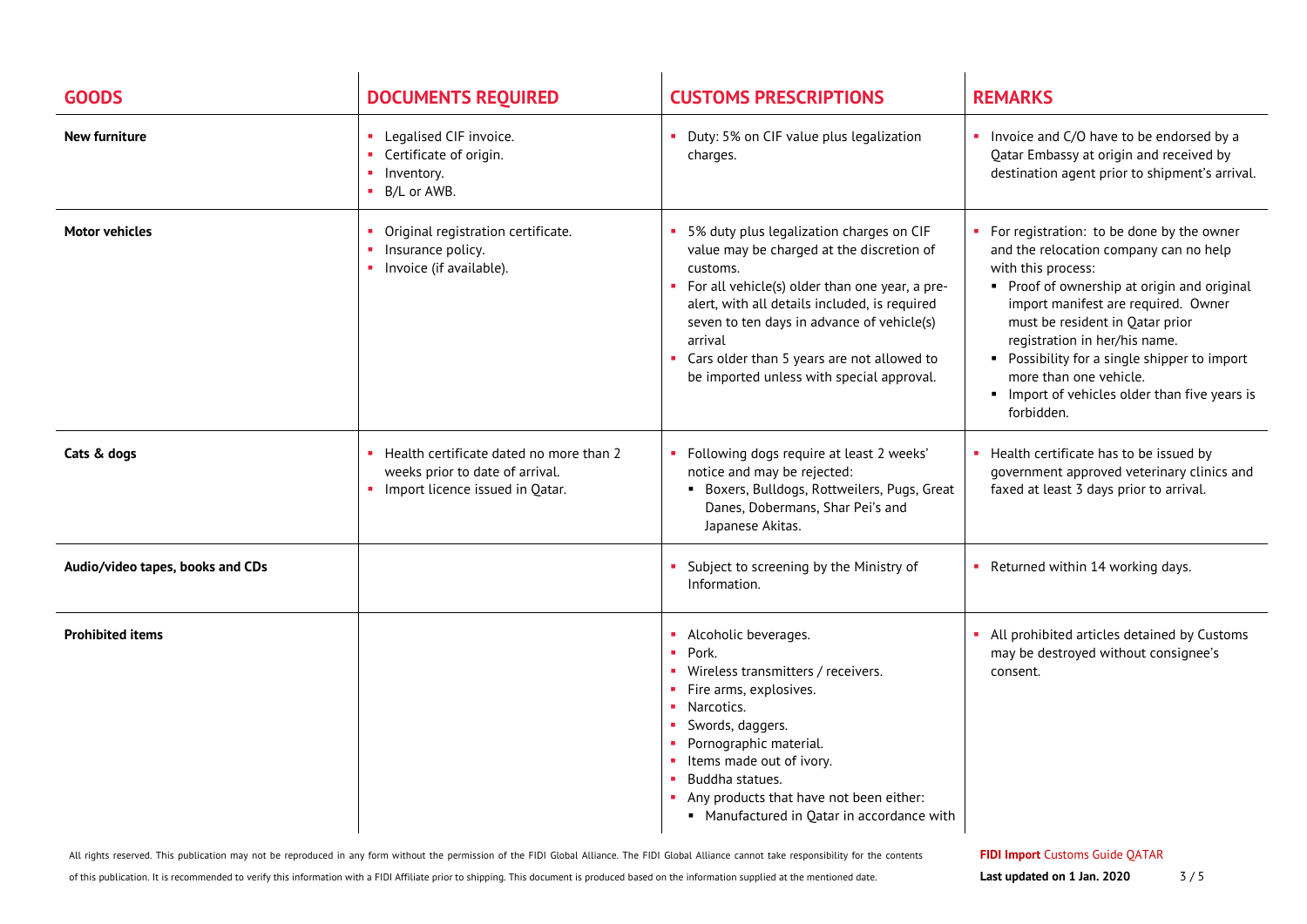| <b>GOODS</b>                     | <b>DOCUMENTS REQUIRED</b>                                                                                     | <b>CUSTOMS PRESCRIPTIONS</b>                                                                                                                                                                                                                                                                                                                             | <b>REMARKS</b>                                                                                                                                                                                                                                                                                                                                                                                             |
|----------------------------------|---------------------------------------------------------------------------------------------------------------|----------------------------------------------------------------------------------------------------------------------------------------------------------------------------------------------------------------------------------------------------------------------------------------------------------------------------------------------------------|------------------------------------------------------------------------------------------------------------------------------------------------------------------------------------------------------------------------------------------------------------------------------------------------------------------------------------------------------------------------------------------------------------|
| <b>New furniture</b>             | Legalised CIF invoice.<br>Certificate of origin.<br>Inventory.<br>B/L or AWB.                                 | • Duty: 5% on CIF value plus legalization<br>charges.                                                                                                                                                                                                                                                                                                    | Invoice and C/O have to be endorsed by a<br>Qatar Embassy at origin and received by<br>destination agent prior to shipment's arrival.                                                                                                                                                                                                                                                                      |
| <b>Motor vehicles</b>            | Original registration certificate.<br>Insurance policy.<br>Invoice (if available).                            | 5% duty plus legalization charges on CIF<br>value may be charged at the discretion of<br>customs.<br>For all vehicle(s) older than one year, a pre-<br>alert, with all details included, is required<br>seven to ten days in advance of vehicle(s)<br>arrival<br>Cars older than 5 years are not allowed to<br>be imported unless with special approval. | For registration: to be done by the owner<br>and the relocation company can no help<br>with this process:<br>• Proof of ownership at origin and original<br>import manifest are required. Owner<br>must be resident in Qatar prior<br>registration in her/his name.<br>• Possibility for a single shipper to import<br>more than one vehicle.<br>Import of vehicles older than five years is<br>forbidden. |
| Cats & dogs                      | Health certificate dated no more than 2<br>weeks prior to date of arrival.<br>Import licence issued in Qatar. | Following dogs require at least 2 weeks'<br>notice and may be rejected:<br>Boxers, Bulldogs, Rottweilers, Pugs, Great<br>Danes, Dobermans, Shar Pei's and<br>Japanese Akitas.                                                                                                                                                                            | Health certificate has to be issued by<br>government approved veterinary clinics and<br>faxed at least 3 days prior to arrival.                                                                                                                                                                                                                                                                            |
| Audio/video tapes, books and CDs |                                                                                                               | Subject to screening by the Ministry of<br>Information.                                                                                                                                                                                                                                                                                                  | • Returned within 14 working days.                                                                                                                                                                                                                                                                                                                                                                         |
| <b>Prohibited items</b>          |                                                                                                               | • Alcoholic beverages.<br>Pork.<br>• Wireless transmitters / receivers.<br>Fire arms, explosives.<br>• Narcotics.<br>Swords, daggers.<br>Pornographic material.<br>• Items made out of ivory.<br>Buddha statues.<br>Any products that have not been either:<br>• Manufactured in Qatar in accordance with                                                | • All prohibited articles detained by Customs<br>may be destroyed without consignee's<br>consent.                                                                                                                                                                                                                                                                                                          |

All rights reserved. This publication may not be reproduced in any form without the permission of the FIDI Global Alliance. The FIDI Global Alliance cannot take responsibility for the contents

of this publication. It is recommended to verify this information with a FIDI Affiliate prior to shipping. This document is produced based on the information supplied at the mentioned date.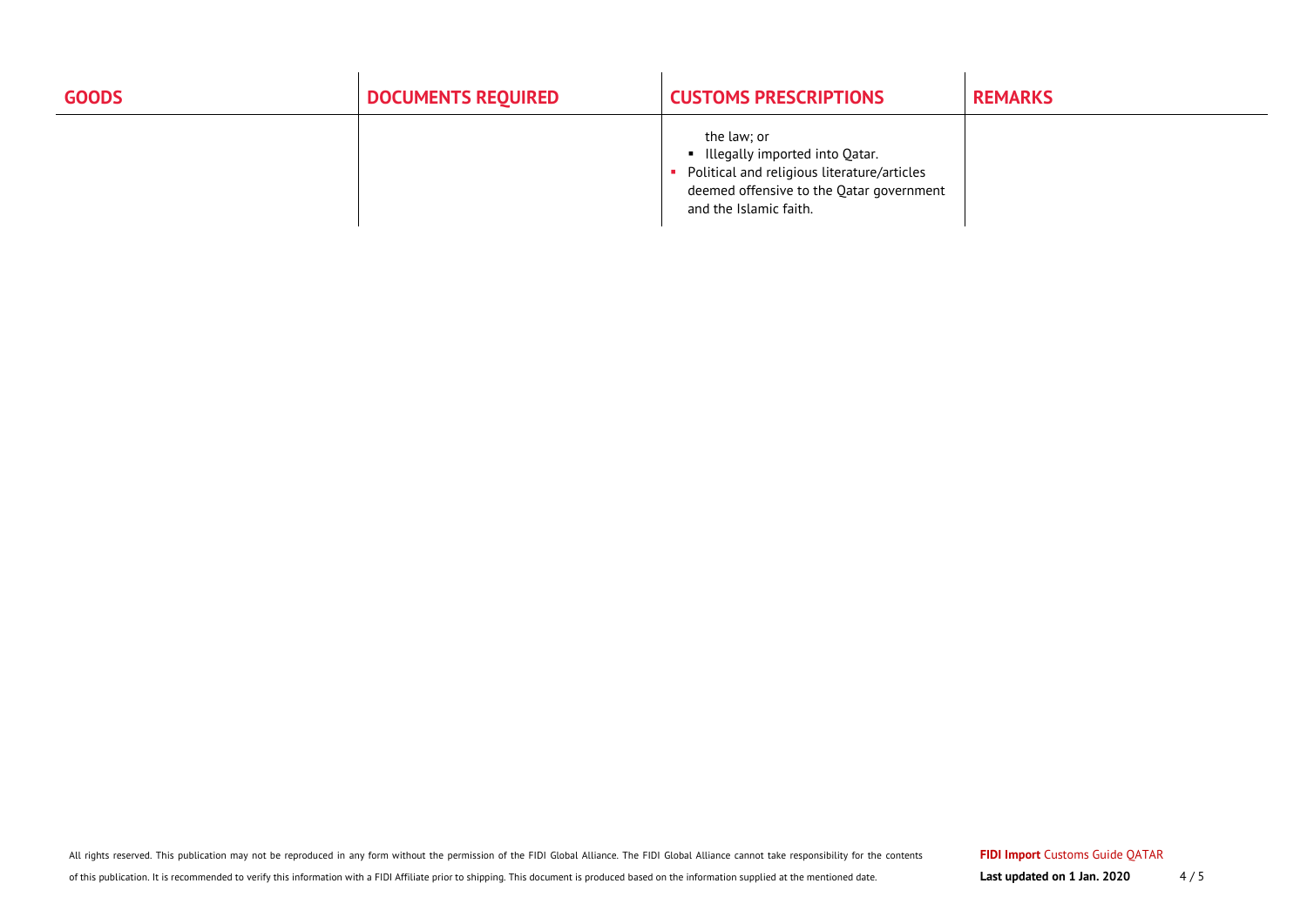| <b>GOODS</b> | <b>DOCUMENTS REQUIRED</b> | <b>CUSTOMS PRESCRIPTIONS</b>                                                                                                                                         | <b>REMARKS</b> |
|--------------|---------------------------|----------------------------------------------------------------------------------------------------------------------------------------------------------------------|----------------|
|              |                           | the law; or<br>■ Illegally imported into Qatar.<br>Political and religious literature/articles<br>deemed offensive to the Qatar government<br>and the Islamic faith. |                |

All rights reserved. This publication may not be reproduced in any form without the permission of the FIDI Global Alliance. The FIDI Global Alliance cannot take responsibility for the contents

of this publication. It is recommended to verify this information with a FIDI Affiliate prior to shipping. This document is produced based on the information supplied at the mentioned date.